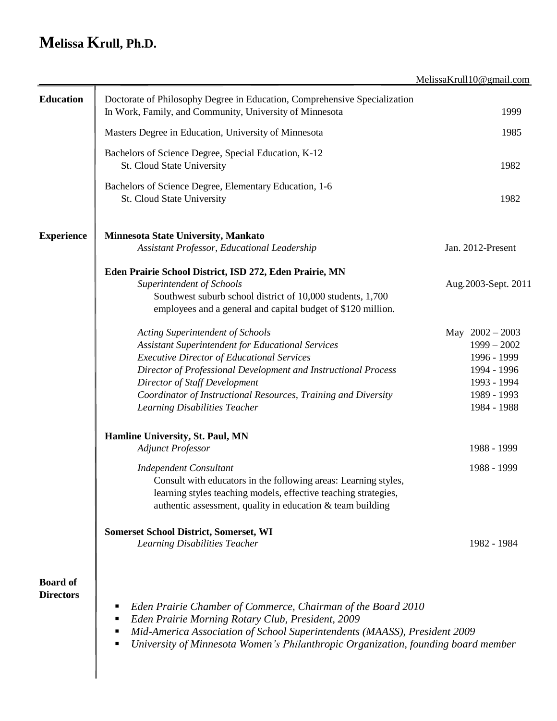# **Melissa Krull, Ph.D.**

|                                     |                                                                                                                                                                                                                                                                                                                                                         | MelissaKrull10@gmail.com                                                                                      |
|-------------------------------------|---------------------------------------------------------------------------------------------------------------------------------------------------------------------------------------------------------------------------------------------------------------------------------------------------------------------------------------------------------|---------------------------------------------------------------------------------------------------------------|
| <b>Education</b>                    | Doctorate of Philosophy Degree in Education, Comprehensive Specialization<br>In Work, Family, and Community, University of Minnesota                                                                                                                                                                                                                    | 1999                                                                                                          |
|                                     | Masters Degree in Education, University of Minnesota                                                                                                                                                                                                                                                                                                    | 1985                                                                                                          |
|                                     | Bachelors of Science Degree, Special Education, K-12<br>St. Cloud State University                                                                                                                                                                                                                                                                      | 1982                                                                                                          |
|                                     | Bachelors of Science Degree, Elementary Education, 1-6<br>St. Cloud State University                                                                                                                                                                                                                                                                    | 1982                                                                                                          |
| <b>Experience</b>                   | Minnesota State University, Mankato<br>Assistant Professor, Educational Leadership                                                                                                                                                                                                                                                                      | Jan. 2012-Present                                                                                             |
|                                     | Eden Prairie School District, ISD 272, Eden Prairie, MN<br>Superintendent of Schools<br>Southwest suburb school district of 10,000 students, 1,700<br>employees and a general and capital budget of \$120 million.                                                                                                                                      | Aug. 2003-Sept. 2011                                                                                          |
|                                     | <b>Acting Superintendent of Schools</b><br>Assistant Superintendent for Educational Services<br><b>Executive Director of Educational Services</b><br>Director of Professional Development and Instructional Process<br>Director of Staff Development<br>Coordinator of Instructional Resources, Training and Diversity<br>Learning Disabilities Teacher | May $2002 - 2003$<br>$1999 - 2002$<br>1996 - 1999<br>1994 - 1996<br>1993 - 1994<br>1989 - 1993<br>1984 - 1988 |
|                                     | Hamline University, St. Paul, MN<br><b>Adjunct Professor</b>                                                                                                                                                                                                                                                                                            | 1988 - 1999                                                                                                   |
|                                     | <b>Independent Consultant</b><br>Consult with educators in the following areas: Learning styles,<br>learning styles teaching models, effective teaching strategies,<br>authentic assessment, quality in education $\&$ team building                                                                                                                    | 1988 - 1999                                                                                                   |
|                                     | <b>Somerset School District, Somerset, WI</b><br>Learning Disabilities Teacher                                                                                                                                                                                                                                                                          | 1982 - 1984                                                                                                   |
| <b>Board of</b><br><b>Directors</b> | Eden Prairie Chamber of Commerce, Chairman of the Board 2010<br>п<br>Eden Prairie Morning Rotary Club, President, 2009<br>п<br>Mid-America Association of School Superintendents (MAASS), President 2009<br>п<br>University of Minnesota Women's Philanthropic Organization, founding board member                                                      |                                                                                                               |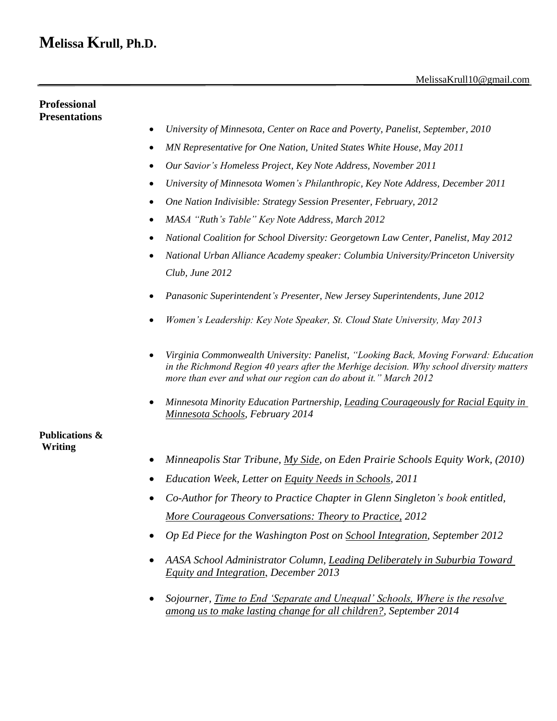## **Melissa Krull, Ph.D.**

### **Professional Presentations**

- *University of Minnesota, Center on Race and Poverty, Panelist, September, 2010*
- *MN Representative for One Nation, United States White House, May 2011*
- *Our Savior's Homeless Project, Key Note Address, November 2011*
- *University of Minnesota Women's Philanthropic, Key Note Address, December 2011*
- *One Nation Indivisible: Strategy Session Presenter, February, 2012*
- *MASA "Ruth's Table" Key Note Address, March 2012*
- *National Coalition for School Diversity: Georgetown Law Center, Panelist, May 2012*
- *National Urban Alliance Academy speaker: Columbia University/Princeton University Club, June 2012*
- *Panasonic Superintendent's Presenter, New Jersey Superintendents, June 2012*
- *Women's Leadership: Key Note Speaker, St. Cloud State University, May 2013*
- *Virginia Commonwealth University: Panelist, "Looking Back, Moving Forward: Education in the Richmond Region 40 years after the Merhige decision. Why school diversity matters more than ever and what our region can do about it." March 2012*
- *Minnesota Minority Education Partnership, Leading Courageously for Racial Equity in Minnesota Schools, February 2014*

### **Publications & Writing**

- *Minneapolis Star Tribune, My Side, on Eden Prairie Schools Equity Work, (2010)*
- *Education Week, Letter on Equity Needs in Schools, 2011*
- *Co-Author for Theory to Practice Chapter in Glenn Singleton's book entitled, More Courageous Conversations: Theory to Practice, 2012*
- *Op Ed Piece for the Washington Post on School Integration, September 2012*
- *AASA School Administrator Column, Leading Deliberately in Suburbia Toward Equity and Integration*, *December 2013*
- *Sojourner, Time to End 'Separate and Unequal' Schools, Where is the resolve among us to make lasting change for all children?, September 2014*